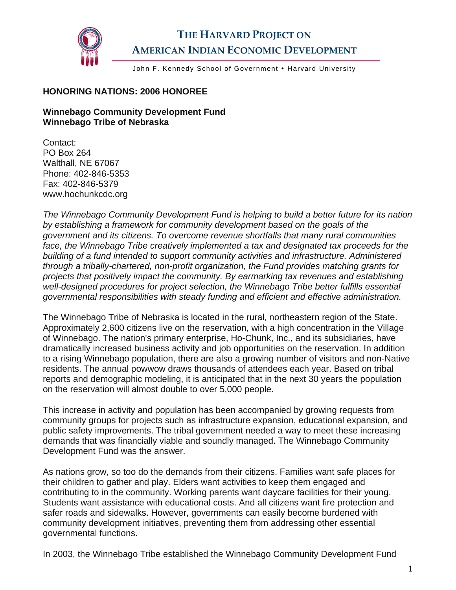

## **THE HARVARD PROJECT ON AMERICAN INDIAN ECONOMIC DEVELOPMENT**

John F. Kennedy School of Government . Harvard University

## **HONORING NATIONS: 2006 HONOREE**

## **Winnebago Community Development Fund Winnebago Tribe of Nebraska**

Contact: PO Box 264 Walthall, NE 67067 Phone: 402-846-5353 Fax: 402-846-5379 www.hochunkcdc.org

*The Winnebago Community Development Fund is helping to build a better future for its nation by establishing a framework for community development based on the goals of the government and its citizens. To overcome revenue shortfalls that many rural communities*  face, the Winnebago Tribe creatively implemented a tax and designated tax proceeds for the *building of a fund intended to support community activities and infrastructure. Administered through a tribally-chartered, non-profit organization, the Fund provides matching grants for projects that positively impact the community. By earmarking tax revenues and establishing well-designed procedures for project selection, the Winnebago Tribe better fulfills essential governmental responsibilities with steady funding and efficient and effective administration.* 

The Winnebago Tribe of Nebraska is located in the rural, northeastern region of the State. Approximately 2,600 citizens live on the reservation, with a high concentration in the Village of Winnebago. The nation's primary enterprise, Ho-Chunk, Inc., and its subsidiaries, have dramatically increased business activity and job opportunities on the reservation. In addition to a rising Winnebago population, there are also a growing number of visitors and non-Native residents. The annual powwow draws thousands of attendees each year. Based on tribal reports and demographic modeling, it is anticipated that in the next 30 years the population on the reservation will almost double to over 5,000 people.

This increase in activity and population has been accompanied by growing requests from community groups for projects such as infrastructure expansion, educational expansion, and public safety improvements. The tribal government needed a way to meet these increasing demands that was financially viable and soundly managed. The Winnebago Community Development Fund was the answer.

As nations grow, so too do the demands from their citizens. Families want safe places for their children to gather and play. Elders want activities to keep them engaged and contributing to in the community. Working parents want daycare facilities for their young. Students want assistance with educational costs. And all citizens want fire protection and safer roads and sidewalks. However, governments can easily become burdened with community development initiatives, preventing them from addressing other essential governmental functions.

In 2003, the Winnebago Tribe established the Winnebago Community Development Fund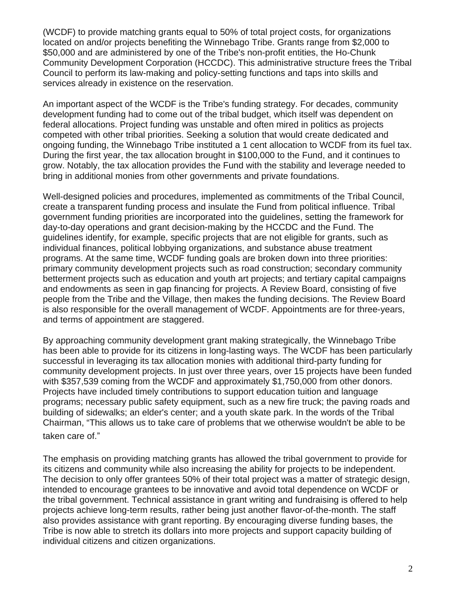(WCDF) to provide matching grants equal to 50% of total project costs, for organizations located on and/or projects benefiting the Winnebago Tribe. Grants range from \$2,000 to \$50,000 and are administered by one of the Tribe's non-profit entities, the Ho-Chunk Community Development Corporation (HCCDC). This administrative structure frees the Tribal Council to perform its law-making and policy-setting functions and taps into skills and services already in existence on the reservation.

An important aspect of the WCDF is the Tribe's funding strategy. For decades, community development funding had to come out of the tribal budget, which itself was dependent on federal allocations. Project funding was unstable and often mired in politics as projects competed with other tribal priorities. Seeking a solution that would create dedicated and ongoing funding, the Winnebago Tribe instituted a 1 cent allocation to WCDF from its fuel tax. During the first year, the tax allocation brought in \$100,000 to the Fund, and it continues to grow. Notably, the tax allocation provides the Fund with the stability and leverage needed to bring in additional monies from other governments and private foundations.

Well-designed policies and procedures, implemented as commitments of the Tribal Council, create a transparent funding process and insulate the Fund from political influence. Tribal government funding priorities are incorporated into the guidelines, setting the framework for day-to-day operations and grant decision-making by the HCCDC and the Fund. The guidelines identify, for example, specific projects that are not eligible for grants, such as individual finances, political lobbying organizations, and substance abuse treatment programs. At the same time, WCDF funding goals are broken down into three priorities: primary community development projects such as road construction; secondary community betterment projects such as education and youth art projects; and tertiary capital campaigns and endowments as seen in gap financing for projects. A Review Board, consisting of five people from the Tribe and the Village, then makes the funding decisions. The Review Board is also responsible for the overall management of WCDF. Appointments are for three-years, and terms of appointment are staggered.

By approaching community development grant making strategically, the Winnebago Tribe has been able to provide for its citizens in long-lasting ways. The WCDF has been particularly successful in leveraging its tax allocation monies with additional third-party funding for community development projects. In just over three years, over 15 projects have been funded with \$357,539 coming from the WCDF and approximately \$1,750,000 from other donors. Projects have included timely contributions to support education tuition and language programs; necessary public safety equipment, such as a new fire truck; the paving roads and building of sidewalks; an elder's center; and a youth skate park. In the words of the Tribal Chairman, "This allows us to take care of problems that we otherwise wouldn't be able to be taken care of."

The emphasis on providing matching grants has allowed the tribal government to provide for its citizens and community while also increasing the ability for projects to be independent. The decision to only offer grantees 50% of their total project was a matter of strategic design, intended to encourage grantees to be innovative and avoid total dependence on WCDF or the tribal government. Technical assistance in grant writing and fundraising is offered to help projects achieve long-term results, rather being just another flavor-of-the-month. The staff also provides assistance with grant reporting. By encouraging diverse funding bases, the Tribe is now able to stretch its dollars into more projects and support capacity building of individual citizens and citizen organizations.